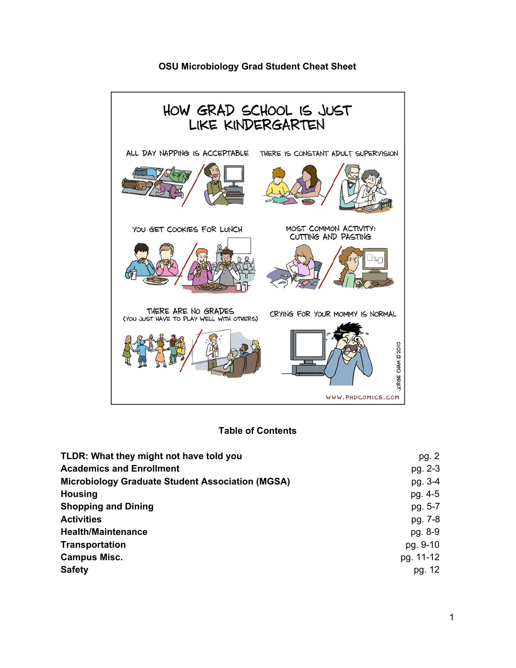#### **OSU Microbiology Grad Student Cheat Sheet**



#### **Table of Contents**

| TLDR: What they might not have told you                 | pg. 2     |
|---------------------------------------------------------|-----------|
| <b>Academics and Enrollment</b>                         | pg. 2-3   |
| <b>Microbiology Graduate Student Association (MGSA)</b> | pg. 3-4   |
| <b>Housing</b>                                          | pg. 4-5   |
| <b>Shopping and Dining</b>                              | pg. 5-7   |
| <b>Activities</b>                                       | pg. 7-8   |
| <b>Health/Maintenance</b>                               | pg. 8-9   |
| Transportation                                          | pg. 9-10  |
| <b>Campus Misc.</b>                                     | pg. 11-12 |
| <b>Safety</b>                                           | pg. 12    |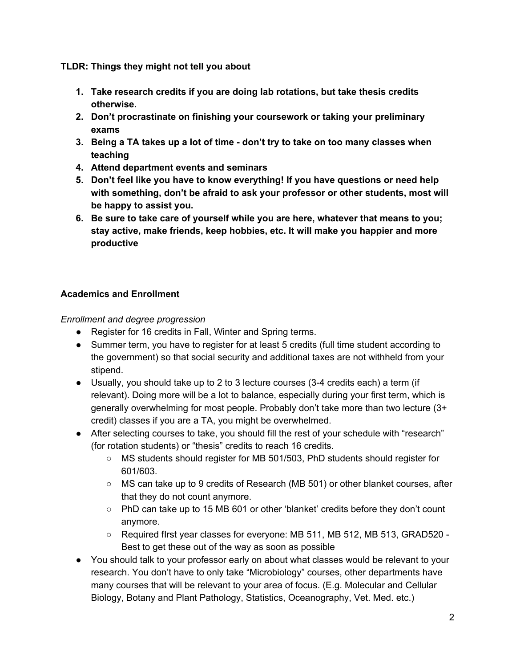**TLDR: Things they might not tell you about**

- **1. Take research credits if you are doing lab rotations, but take thesis credits otherwise.**
- **2. Don't procrastinate on finishing your coursework or taking your preliminary exams**
- **3. Being a TA takes up a lot of time - don't try to take on too many classes when teaching**
- **4. Attend department events and seminars**
- **5. Don't feel like you have to know everything! If you have questions or need help with something, don't be afraid to ask your professor or other students, most will be happy to assist you.**
- **6. Be sure to take care of yourself while you are here, whatever that means to you; stay active, make friends, keep hobbies, etc. It will make you happier and more productive**

### **Academics and Enrollment**

*Enrollment and degree progression*

- Register for 16 credits in Fall, Winter and Spring terms.
- Summer term, you have to register for at least 5 credits (full time student according to the government) so that social security and additional taxes are not withheld from your stipend.
- Usually, you should take up to 2 to 3 lecture courses (3-4 credits each) a term (if relevant). Doing more will be a lot to balance, especially during your first term, which is generally overwhelming for most people. Probably don't take more than two lecture (3+ credit) classes if you are a TA, you might be overwhelmed.
- After selecting courses to take, you should fill the rest of your schedule with "research" (for rotation students) or "thesis" credits to reach 16 credits.
	- MS students should register for MB 501/503, PhD students should register for 601/603.
	- MS can take up to 9 credits of Research (MB 501) or other blanket courses, after that they do not count anymore.
	- PhD can take up to 15 MB 601 or other 'blanket' credits before they don't count anymore.
	- Required fIrst year classes for everyone: MB 511, MB 512, MB 513, GRAD520 Best to get these out of the way as soon as possible
- You should talk to your professor early on about what classes would be relevant to your research. You don't have to only take "Microbiology" courses, other departments have many courses that will be relevant to your area of focus. (E.g. Molecular and Cellular Biology, Botany and Plant Pathology, Statistics, Oceanography, Vet. Med. etc.)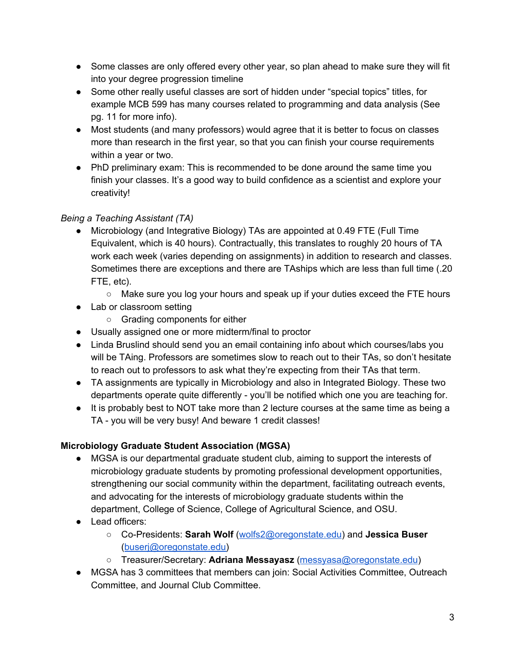- Some classes are only offered every other year, so plan ahead to make sure they will fit into your degree progression timeline
- Some other really useful classes are sort of hidden under "special topics" titles, for example MCB 599 has many courses related to programming and data analysis (See pg. 11 for more info).
- Most students (and many professors) would agree that it is better to focus on classes more than research in the first year, so that you can finish your course requirements within a year or two.
- PhD preliminary exam: This is recommended to be done around the same time you finish your classes. It's a good way to build confidence as a scientist and explore your creativity!

## *Being a Teaching Assistant (TA)*

- Microbiology (and Integrative Biology) TAs are appointed at 0.49 FTE (Full Time Equivalent, which is 40 hours). Contractually, this translates to roughly 20 hours of TA work each week (varies depending on assignments) in addition to research and classes. Sometimes there are exceptions and there are TAships which are less than full time (.20 FTE, etc).
	- Make sure you log your hours and speak up if your duties exceed the FTE hours
- Lab or classroom setting
	- Grading components for either
- Usually assigned one or more midterm/final to proctor
- Linda Bruslind should send you an email containing info about which courses/labs you will be TAing. Professors are sometimes slow to reach out to their TAs, so don't hesitate to reach out to professors to ask what they're expecting from their TAs that term.
- TA assignments are typically in Microbiology and also in Integrated Biology. These two departments operate quite differently - you'll be notified which one you are teaching for.
- It is probably best to NOT take more than 2 lecture courses at the same time as being a TA - you will be very busy! And beware 1 credit classes!

## **Microbiology Graduate Student Association (MGSA)**

- MGSA is our departmental graduate student club, aiming to support the interests of microbiology graduate students by promoting professional development opportunities, strengthening our social community within the department, facilitating outreach events, and advocating for the interests of microbiology graduate students within the department, College of Science, College of Agricultural Science, and OSU.
- Lead officers:
	- Co-Presidents: **Sarah Wolf** ([wolfs2@oregonstate.edu\)](mailto:wolfs2@oregonstate.edu) and **Jessica Buser** ([buserj@oregonstate.edu](mailto:buserj@oregonstate.edu))
	- Treasurer/Secretary: **Adriana Messayasz** ([messyasa@oregonstate.edu](mailto:messyasa@oregonstate.edu))
- MGSA has 3 committees that members can join: Social Activities Committee, Outreach Committee, and Journal Club Committee.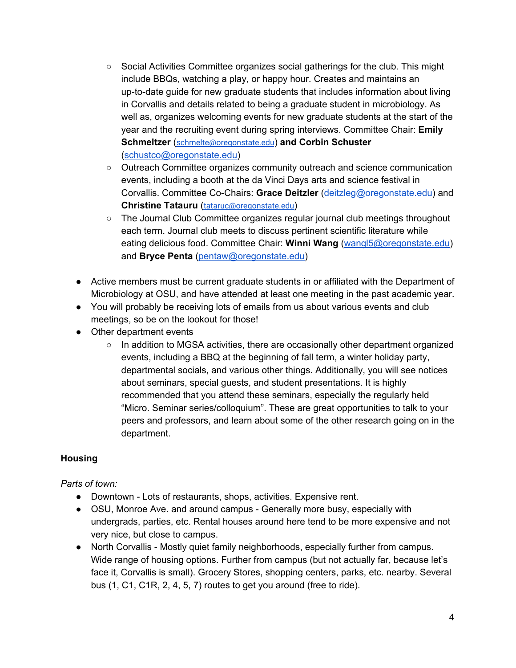- Social Activities Committee organizes social gatherings for the club. This might include BBQs, watching a play, or happy hour. Creates and maintains an up-to-date guide for new graduate students that includes information about living in Corvallis and details related to being a graduate student in microbiology. As well as, organizes welcoming events for new graduate students at the start of the year and the recruiting event during spring interviews. Committee Chair: **Emily Schmeltzer** ([schmelte@oregonstate.edu](mailto:schmelte@oregonstate.edu)) **and Corbin Schuster** ([schustco@oregonstate.edu\)](mailto:schustco@oregonstate.edu)
- Outreach Committee organizes community outreach and science communication events, including a booth at the da Vinci Days arts and science festival in Corvallis. Committee Co-Chairs: **Grace Deitzler** ([deitzleg@oregonstate.edu](mailto:deitzleg@oregonstate.edu)) and **Christine Tatauru** ([tataruc@oregonstate.edu](mailto:tataruc@oregonstate.edu))
- The Journal Club Committee organizes regular journal club meetings throughout each term. Journal club meets to discuss pertinent scientific literature while eating delicious food. Committee Chair: **Winni Wang** ([wangl5@oregonstate.edu\)](mailto:wangl5@oregonstate.edu) and **Bryce Penta** ([pentaw@oregonstate.edu\)](mailto:pentaw@oregonstate.edu)
- Active members must be current graduate students in or affiliated with the Department of Microbiology at OSU, and have attended at least one meeting in the past academic year.
- You will probably be receiving lots of emails from us about various events and club meetings, so be on the lookout for those!
- Other department events
	- In addition to MGSA activities, there are occasionally other department organized events, including a BBQ at the beginning of fall term, a winter holiday party, departmental socials, and various other things. Additionally, you will see notices about seminars, special guests, and student presentations. It is highly recommended that you attend these seminars, especially the regularly held "Micro. Seminar series/colloquium". These are great opportunities to talk to your peers and professors, and learn about some of the other research going on in the department.

## **Housing**

#### *Parts of town:*

- Downtown Lots of restaurants, shops, activities. Expensive rent.
- OSU, Monroe Ave. and around campus Generally more busy, especially with undergrads, parties, etc. Rental houses around here tend to be more expensive and not very nice, but close to campus.
- North Corvallis Mostly quiet family neighborhoods, especially further from campus. Wide range of housing options. Further from campus (but not actually far, because let's face it, Corvallis is small). Grocery Stores, shopping centers, parks, etc. nearby. Several bus (1, C1, C1R, 2, 4, 5, 7) routes to get you around (free to ride).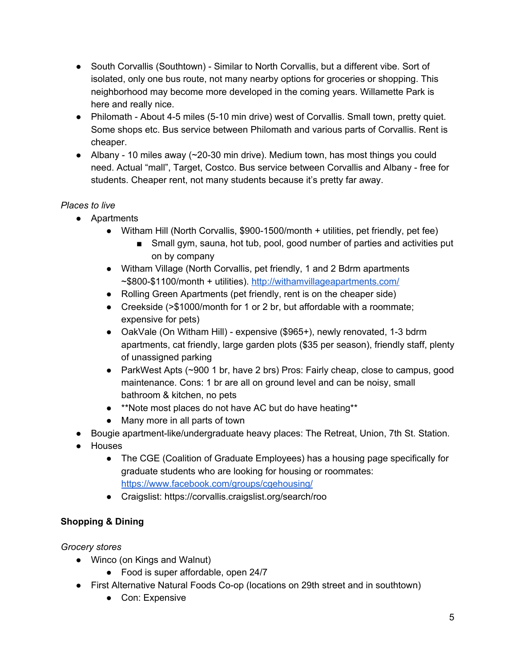- South Corvallis (Southtown) Similar to North Corvallis, but a different vibe. Sort of isolated, only one bus route, not many nearby options for groceries or shopping. This neighborhood may become more developed in the coming years. Willamette Park is here and really nice.
- Philomath About 4-5 miles (5-10 min drive) west of Corvallis. Small town, pretty quiet. Some shops etc. Bus service between Philomath and various parts of Corvallis. Rent is cheaper.
- Albany 10 miles away  $\sim$  20-30 min drive). Medium town, has most things you could need. Actual "mall", Target, Costco. Bus service between Corvallis and Albany - free for students. Cheaper rent, not many students because it's pretty far away.

## *Places to live*

- Apartments
	- Witham Hill (North Corvallis, \$900-1500/month  $+$  utilities, pet friendly, pet fee)
		- Small gym, sauna, hot tub, pool, good number of parties and activities put on by company
	- Witham Village (North Corvallis, pet friendly, 1 and 2 Bdrm apartments ~\$800-\$1100/month + utilities). <http://withamvillageapartments.com/>
	- Rolling Green Apartments (pet friendly, rent is on the cheaper side)
	- Creekside (>\$1000/month for 1 or 2 br, but affordable with a roommate; expensive for pets)
	- OakVale (On Witham Hill) expensive (\$965+), newly renovated, 1-3 bdrm apartments, cat friendly, large garden plots (\$35 per season), friendly staff, plenty of unassigned parking
	- ParkWest Apts (~900 1 br, have 2 brs) Pros: Fairly cheap, close to campus, good maintenance. Cons: 1 br are all on ground level and can be noisy, small bathroom & kitchen, no pets
	- \*\*Note most places do not have AC but do have heating\*\*
	- Many more in all parts of town
- Bougie apartment-like/undergraduate heavy places: The Retreat, Union, 7th St. Station.
- Houses
	- The CGE (Coalition of Graduate Employees) has a housing page specifically for graduate students who are looking for housing or roommates: <https://www.facebook.com/groups/cgehousing/>
	- Craigslist: https://corvallis.craigslist.org/search/roo

# **Shopping & Dining**

*Grocery stores*

- Winco (on Kings and Walnut)
	- Food is super affordable, open 24/7
- First Alternative Natural Foods Co-op (locations on 29th street and in southtown)
	- Con: Expensive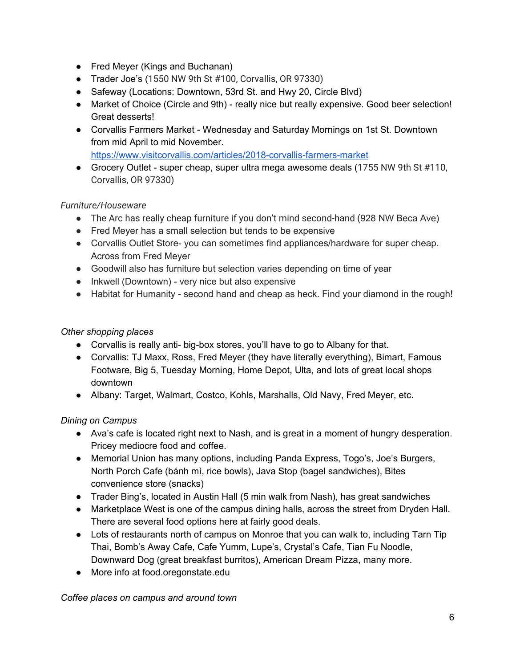- Fred Meyer (Kings and Buchanan)
- Trader Joe's (1550 NW 9th St #100, Corvallis, OR 97330)
- Safeway (Locations: Downtown, 53rd St. and Hwy 20, Circle Blvd)
- Market of Choice (Circle and 9th) really nice but really expensive. Good beer selection! Great desserts!
- Corvallis Farmers Market Wednesday and Saturday Mornings on 1st St. Downtown from mid April to mid November.

<https://www.visitcorvallis.com/articles/2018-corvallis-farmers-market>

● Grocery Outlet - super cheap, super ultra mega awesome deals (1755 NW 9th St #110, Corvallis, OR 97330)

### *Furniture/Houseware*

- The Arc has really cheap furniture if you don't mind second-hand (928 NW Beca Ave)
- Fred Meyer has a small selection but tends to be expensive
- Corvallis Outlet Store- you can sometimes find appliances/hardware for super cheap. Across from Fred Meyer
- Goodwill also has furniture but selection varies depending on time of year
- Inkwell (Downtown) very nice but also expensive
- Habitat for Humanity second hand and cheap as heck. Find your diamond in the rough!

### *Other shopping places*

- Corvallis is really anti- big-box stores, you'll have to go to Albany for that.
- Corvallis: TJ Maxx, Ross, Fred Meyer (they have literally everything), Bimart, Famous Footware, Big 5, Tuesday Morning, Home Depot, Ulta, and lots of great local shops downtown
- Albany: Target, Walmart, Costco, Kohls, Marshalls, Old Navy, Fred Meyer, etc.

## *Dining on Campus*

- Ava's cafe is located right next to Nash, and is great in a moment of hungry desperation. Pricey mediocre food and coffee.
- Memorial Union has many options, including Panda Express, Togo's, Joe's Burgers, North Porch Cafe (bánh mì, rice bowls), Java Stop (bagel sandwiches), Bites convenience store (snacks)
- Trader Bing's, located in Austin Hall (5 min walk from Nash), has great sandwiches
- Marketplace West is one of the campus dining halls, across the street from Dryden Hall. There are several food options here at fairly good deals.
- Lots of restaurants north of campus on Monroe that you can walk to, including Tarn Tip Thai, Bomb's Away Cafe, Cafe Yumm, Lupe's, Crystal's Cafe, Tian Fu Noodle, Downward Dog (great breakfast burritos), American Dream Pizza, many more.
- More info at food.oregonstate.edu

*Coffee places on campus and around town*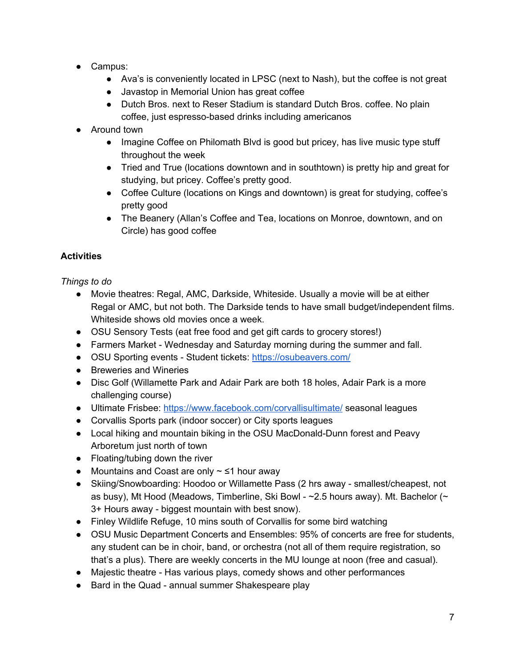- Campus:
	- Ava's is conveniently located in LPSC (next to Nash), but the coffee is not great
	- Javastop in Memorial Union has great coffee
	- Dutch Bros. next to Reser Stadium is standard Dutch Bros. coffee. No plain coffee, just espresso-based drinks including americanos
- Around town
	- Imagine Coffee on Philomath Blvd is good but pricey, has live music type stuff throughout the week
	- Tried and True (locations downtown and in southtown) is pretty hip and great for studying, but pricey. Coffee's pretty good.
	- Coffee Culture (locations on Kings and downtown) is great for studying, coffee's pretty good
	- The Beanery (Allan's Coffee and Tea, locations on Monroe, downtown, and on Circle) has good coffee

## **Activities**

*Things to do*

- Movie theatres: Regal, AMC, Darkside, Whiteside. Usually a movie will be at either Regal or AMC, but not both. The Darkside tends to have small budget/independent films. Whiteside shows old movies once a week.
- OSU Sensory Tests (eat free food and get gift cards to grocery stores!)
- Farmers Market Wednesday and Saturday morning during the summer and fall.
- OSU Sporting events Student tickets: <https://osubeavers.com/>
- Breweries and Wineries
- Disc Golf (Willamette Park and Adair Park are both 18 holes, Adair Park is a more challenging course)
- Ultimate Frisbee: <https://www.facebook.com/corvallisultimate/> seasonal leagues
- Corvallis Sports park (indoor soccer) or City sports leagues
- Local hiking and mountain biking in the OSU MacDonald-Dunn forest and Peavy Arboretum just north of town
- Floating/tubing down the river
- Mountains and Coast are only  $\sim$   $\leq$ 1 hour away
- Skiing/Snowboarding: Hoodoo or Willamette Pass (2 hrs away smallest/cheapest, not as busy), Mt Hood (Meadows, Timberline, Ski Bowl - ~2.5 hours away). Mt. Bachelor (~ 3+ Hours away - biggest mountain with best snow).
- Finley Wildlife Refuge, 10 mins south of Corvallis for some bird watching
- OSU Music Department Concerts and Ensembles: 95% of concerts are free for students, any student can be in choir, band, or orchestra (not all of them require registration, so that's a plus). There are weekly concerts in the MU lounge at noon (free and casual).
- Majestic theatre Has various plays, comedy shows and other performances
- Bard in the Quad annual summer Shakespeare play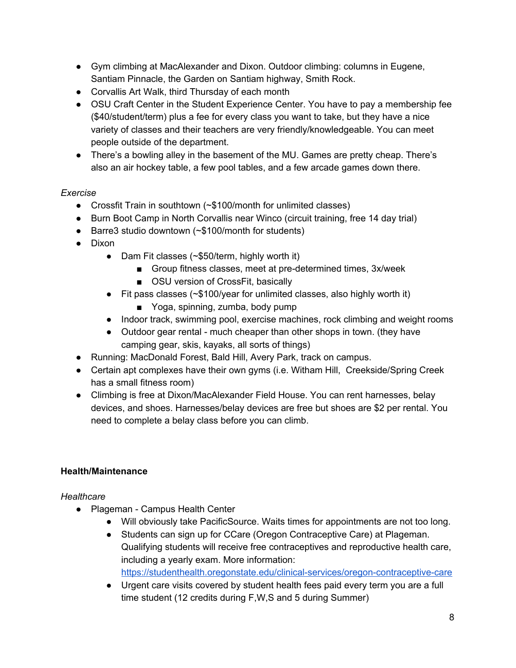- Gym climbing at MacAlexander and Dixon. Outdoor climbing: columns in Eugene, Santiam Pinnacle, the Garden on Santiam highway, Smith Rock.
- Corvallis Art Walk, third Thursday of each month
- OSU Craft Center in the Student Experience Center. You have to pay a membership fee (\$40/student/term) plus a fee for every class you want to take, but they have a nice variety of classes and their teachers are very friendly/knowledgeable. You can meet people outside of the department.
- There's a bowling alley in the basement of the MU. Games are pretty cheap. There's also an air hockey table, a few pool tables, and a few arcade games down there.

## *Exercise*

- Crossfit Train in southtown (~\$100/month for unlimited classes)
- Burn Boot Camp in North Corvallis near Winco (circuit training, free 14 day trial)
- Barre3 studio downtown (~\$100/month for students)
- Dixon
	- Dam Fit classes (~\$50/term, highly worth it)
		- Group fitness classes, meet at pre-determined times, 3x/week
		- OSU version of CrossFit, basically
	- Fit pass classes (~\$100/year for unlimited classes, also highly worth it)
		- Yoga, spinning, zumba, body pump
	- Indoor track, swimming pool, exercise machines, rock climbing and weight rooms
	- Outdoor gear rental much cheaper than other shops in town. (they have camping gear, skis, kayaks, all sorts of things)
- Running: MacDonald Forest, Bald Hill, Avery Park, track on campus.
- Certain apt complexes have their own gyms (i.e. Witham Hill, Creekside/Spring Creek has a small fitness room)
- Climbing is free at Dixon/MacAlexander Field House. You can rent harnesses, belay devices, and shoes. Harnesses/belay devices are free but shoes are \$2 per rental. You need to complete a belay class before you can climb.

## **Health/Maintenance**

#### *Healthcare*

- Plageman Campus Health Center
	- Will obviously take PacificSource. Waits times for appointments are not too long.
	- Students can sign up for CCare (Oregon Contraceptive Care) at Plageman. Qualifying students will receive free contraceptives and reproductive health care, including a yearly exam. More information: <https://studenthealth.oregonstate.edu/clinical-services/oregon-contraceptive-care>
	- Urgent care visits covered by student health fees paid every term you are a full time student (12 credits during F,W,S and 5 during Summer)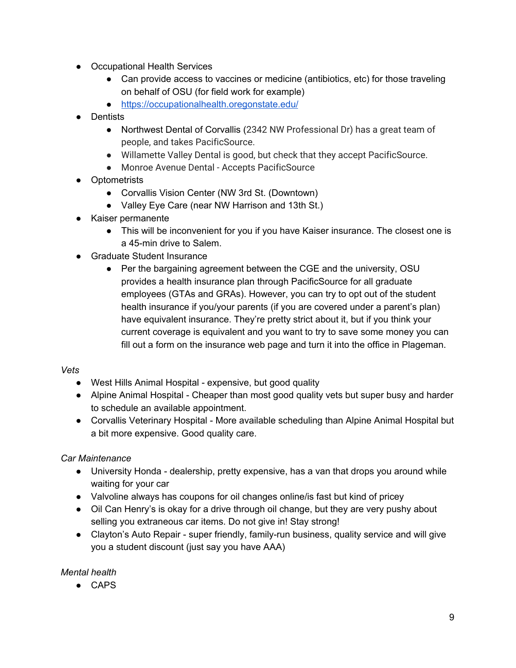- Occupational Health Services
	- Can provide access to vaccines or medicine (antibiotics, etc) for those traveling on behalf of OSU (for field work for example)
	- <https://occupationalhealth.oregonstate.edu/>
- Dentists
	- Northwest Dental of Corvallis (2342 NW Professional Dr) has a great team of people, and takes PacificSource.
	- Willamette Valley Dental is good, but check that they accept PacificSource.
	- Monroe Avenue Dental Accepts PacificSource
- Optometrists
	- Corvallis Vision Center (NW 3rd St. (Downtown)
	- Valley Eye Care (near NW Harrison and 13th St.)
- Kaiser permanente
	- This will be inconvenient for you if you have Kaiser insurance. The closest one is a 45-min drive to Salem.
- Graduate Student Insurance
	- Per the bargaining agreement between the CGE and the university, OSU provides a health insurance plan through PacificSource for all graduate employees (GTAs and GRAs). However, you can try to opt out of the student health insurance if you/your parents (if you are covered under a parent's plan) have equivalent insurance. They're pretty strict about it, but if you think your current coverage is equivalent and you want to try to save some money you can fill out a form on the insurance web page and turn it into the office in Plageman.

#### *Vets*

- West Hills Animal Hospital expensive, but good quality
- Alpine Animal Hospital Cheaper than most good quality vets but super busy and harder to schedule an available appointment.
- Corvallis Veterinary Hospital More available scheduling than Alpine Animal Hospital but a bit more expensive. Good quality care.

#### *Car Maintenance*

- University Honda dealership, pretty expensive, has a van that drops you around while waiting for your car
- Valvoline always has coupons for oil changes online/is fast but kind of pricey
- Oil Can Henry's is okay for a drive through oil change, but they are very pushy about selling you extraneous car items. Do not give in! Stay strong!
- Clayton's Auto Repair super friendly, family-run business, quality service and will give you a student discount (just say you have AAA)

#### *Mental health*

● CAPS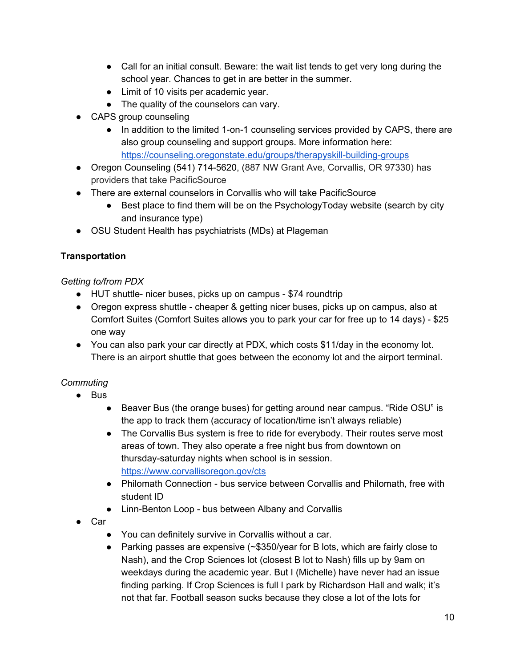- Call for an initial consult. Beware: the wait list tends to get very long during the school year. Chances to get in are better in the summer.
- Limit of 10 visits per academic year.
- The quality of the counselors can vary.
- CAPS group counseling
	- In addition to the limited 1-on-1 counseling services provided by CAPS, there are also group counseling and support groups. More information here: <https://counseling.oregonstate.edu/groups/therapyskill-building-groups>
- Oregon Counseling (541) 714-5620, (887 NW Grant Ave, Corvallis, OR 97330) has providers that take PacificSource
- There are external counselors in Corvallis who will take PacificSource
	- Best place to find them will be on the PsychologyToday website (search by city and insurance type)
- OSU Student Health has psychiatrists (MDs) at Plageman

## **Transportation**

## *Getting to/from PDX*

- HUT shuttle- nicer buses, picks up on campus \$74 roundtrip
- Oregon express shuttle cheaper & getting nicer buses, picks up on campus, also at Comfort Suites (Comfort Suites allows you to park your car for free up to 14 days) - \$25 one way
- You can also park your car directly at PDX, which costs \$11/day in the economy lot. There is an airport shuttle that goes between the economy lot and the airport terminal.

# *Commuting*

- Bus
	- Beaver Bus (the orange buses) for getting around near campus. "Ride OSU" is the app to track them (accuracy of location/time isn't always reliable)
	- The Corvallis Bus system is free to ride for everybody. Their routes serve most areas of town. They also operate a free night bus from downtown on thursday-saturday nights when school is in session. <https://www.corvallisoregon.gov/cts>
	- Philomath Connection bus service between Corvallis and Philomath, free with student ID
	- Linn-Benton Loop bus between Albany and Corvallis
- Car
	- You can definitely survive in Corvallis without a car.
	- Parking passes are expensive  $(\sim$ \$350/year for B lots, which are fairly close to Nash), and the Crop Sciences lot (closest B lot to Nash) fills up by 9am on weekdays during the academic year. But I (Michelle) have never had an issue finding parking. If Crop Sciences is full I park by Richardson Hall and walk; it's not that far. Football season sucks because they close a lot of the lots for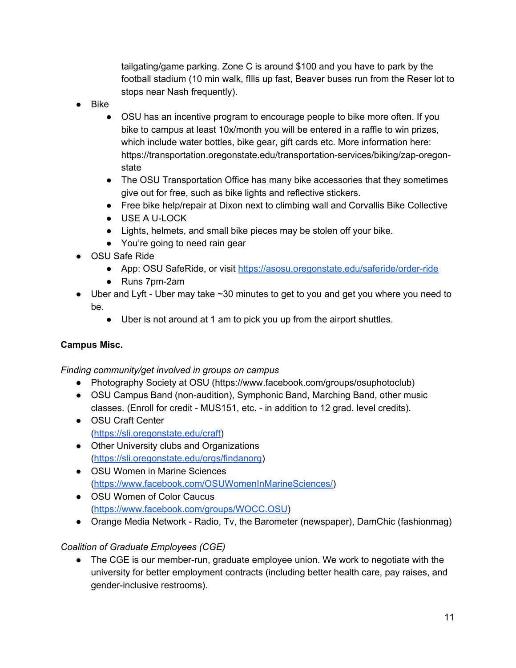tailgating/game parking. Zone C is around \$100 and you have to park by the football stadium (10 min walk, fIlls up fast, Beaver buses run from the Reser lot to stops near Nash frequently).

- Bike
	- OSU has an incentive program to encourage people to bike more often. If you bike to campus at least 10x/month you will be entered in a raffle to win prizes, which include water bottles, bike gear, gift cards etc. More information here: https://transportation.oregonstate.edu/transportation-services/biking/zap-oregonstate
	- The OSU Transportation Office has many bike accessories that they sometimes give out for free, such as bike lights and reflective stickers.
	- Free bike help/repair at Dixon next to climbing wall and Corvallis Bike Collective
	- USE A U-LOCK
	- Lights, helmets, and small bike pieces may be stolen off your bike.
	- You're going to need rain gear
- OSU Safe Ride
	- App: OSU SafeRide, or visit <https://asosu.oregonstate.edu/saferide/order-ride>
	- Runs 7pm-2am
- $\bullet$  Uber and Lyft Uber may take  $\sim$  30 minutes to get to you and get you where you need to be.
	- Uber is not around at 1 am to pick you up from the airport shuttles.

#### **Campus Misc.**

#### *Finding community/get involved in groups on campus*

- Photography Society at OSU (https://www.facebook.com/groups/osuphotoclub)
- OSU Campus Band (non-audition), Symphonic Band, Marching Band, other music classes. (Enroll for credit - MUS151, etc. - in addition to 12 grad. level credits).
- OSU Craft Center ([https://sli.oregonstate.edu/craft\)](https://sli.oregonstate.edu/craft)
- Other University clubs and Organizations (<https://sli.oregonstate.edu/orgs/findanorg>)
- OSU Women in Marine Sciences (<https://www.facebook.com/OSUWomenInMarineSciences/>)
- OSU Women of Color Caucus (<https://www.facebook.com/groups/WOCC.OSU>)
- Orange Media Network Radio, Tv, the Barometer (newspaper), DamChic (fashionmag)

#### *Coalition of Graduate Employees (CGE)*

● The CGE is our member-run, graduate employee union. We work to negotiate with the university for better employment contracts (including better health care, pay raises, and gender-inclusive restrooms).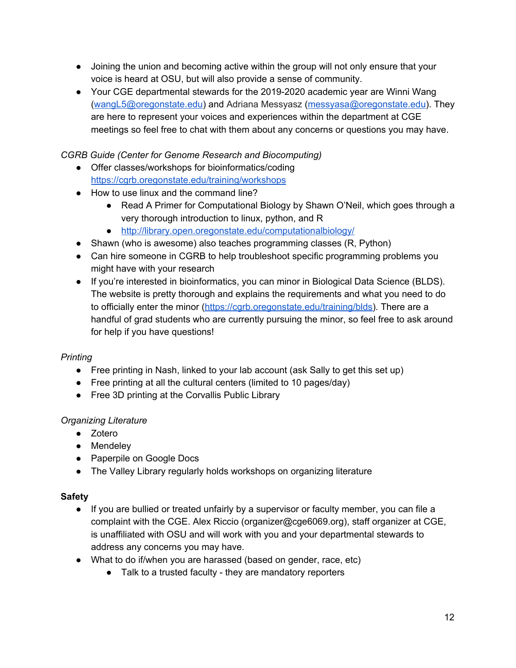- Joining the union and becoming active within the group will not only ensure that your voice is heard at OSU, but will also provide a sense of community.
- Your CGE departmental stewards for the 2019-2020 academic year are Winni Wang ([wangL5@oregonstate.edu\)](mailto:wangL5@oregonstate.edu) and Adriana Messyasz [\(messyasa@oregonstate.edu\)](mailto:messyasa@oregonstate.edu). They are here to represent your voices and experiences within the department at CGE meetings so feel free to chat with them about any concerns or questions you may have.

*CGRB Guide (Center for Genome Research and Biocomputing)*

- Offer classes/workshops for bioinformatics/coding <https://cgrb.oregonstate.edu/training/workshops>
- How to use linux and the command line?
	- Read A Primer for Computational Biology by Shawn O'Neil, which goes through a very thorough introduction to linux, python, and R
	- <http://library.open.oregonstate.edu/computationalbiology/>
- Shawn (who is awesome) also teaches programming classes (R, Python)
- Can hire someone in CGRB to help troubleshoot specific programming problems you might have with your research
- If you're interested in bioinformatics, you can minor in Biological Data Science (BLDS). The website is pretty thorough and explains the requirements and what you need to do to officially enter the minor [\(https://cgrb.oregonstate.edu/training/blds](https://cgrb.oregonstate.edu/training/blds)). There are a handful of grad students who are currently pursuing the minor, so feel free to ask around for help if you have questions!

## *Printing*

- Free printing in Nash, linked to your lab account (ask Sally to get this set up)
- Free printing at all the cultural centers (limited to 10 pages/day)
- Free 3D printing at the Corvallis Public Library

## *Organizing Literature*

- Zotero
- Mendeley
- Paperpile on Google Docs
- The Valley Library regularly holds workshops on organizing literature

## **Safety**

- If you are bullied or treated unfairly by a supervisor or faculty member, you can file a complaint with the CGE. Alex Riccio (organizer@cge6069.org), staff organizer at CGE, is unaffiliated with OSU and will work with you and your departmental stewards to address any concerns you may have.
- What to do if/when you are harassed (based on gender, race, etc)
	- Talk to a trusted faculty they are mandatory reporters